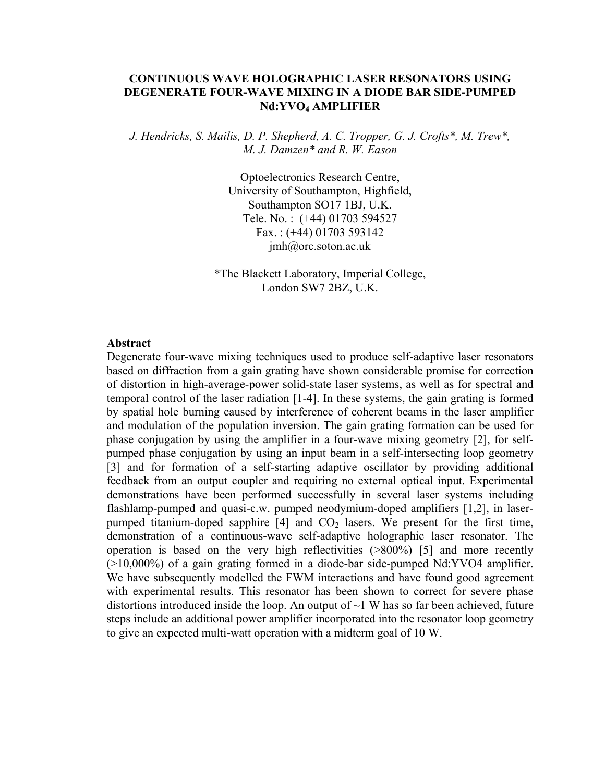## **CONTINUOUS WAVE HOLOGRAPHIC LASER RESONATORS USING DEGENERATE FOUR-WAVE MIXING IN A DIODE BAR SIDE-PUMPED Nd:YVO4 AMPLIFIER**

*J. Hendricks, S. Mailis, D. P. Shepherd, A. C. Tropper, G. J. Crofts\*, M. Trew\*, M. J. Damzen\* and R. W. Eason* 

> Optoelectronics Research Centre, University of Southampton, Highfield, Southampton SO17 1BJ, U.K. Tele. No. : (+44) 01703 594527 Fax. : (+44) 01703 593142 jmh@orc.soton.ac.uk

\*The Blackett Laboratory, Imperial College, London SW7 2BZ, U.K.

## **Abstract**

Degenerate four-wave mixing techniques used to produce self-adaptive laser resonators based on diffraction from a gain grating have shown considerable promise for correction of distortion in high-average-power solid-state laser systems, as well as for spectral and temporal control of the laser radiation [1-4]. In these systems, the gain grating is formed by spatial hole burning caused by interference of coherent beams in the laser amplifier and modulation of the population inversion. The gain grating formation can be used for phase conjugation by using the amplifier in a four-wave mixing geometry [2], for selfpumped phase conjugation by using an input beam in a self-intersecting loop geometry [3] and for formation of a self-starting adaptive oscillator by providing additional feedback from an output coupler and requiring no external optical input. Experimental demonstrations have been performed successfully in several laser systems including flashlamp-pumped and quasi-c.w. pumped neodymium-doped amplifiers [1,2], in laserpumped titanium-doped sapphire  $[4]$  and  $CO<sub>2</sub>$  lasers. We present for the first time, demonstration of a continuous-wave self-adaptive holographic laser resonator. The operation is based on the very high reflectivities (>800%) [5] and more recently (>10,000%) of a gain grating formed in a diode-bar side-pumped Nd:YVO4 amplifier. We have subsequently modelled the FWM interactions and have found good agreement with experimental results. This resonator has been shown to correct for severe phase distortions introduced inside the loop. An output of  $\sim$ 1 W has so far been achieved, future steps include an additional power amplifier incorporated into the resonator loop geometry to give an expected multi-watt operation with a midterm goal of 10 W.